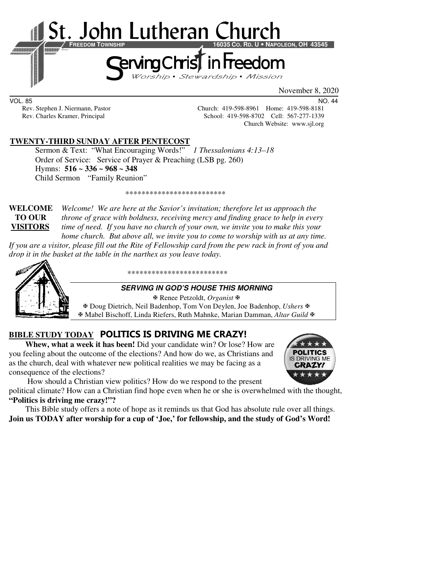

VOL. 85 NO. 44

Rev. Stephen J. Niermann, Pastor Church: 419-598-8961 Home: 419-598-8181<br>Rev. Charles Kramer, Principal School: 419-598-8702 Cell: 567-277-1339 School: 419-598-8702 Cell: 567-277-1339 Church Website: www.sjl.org

#### **TWENTY-THIRD SUNDAY AFTER PENTECOST**

 Sermon & Text: "What Encouraging Words!" *1 Thessalonians 4:13–18* Order of Service: Service of Prayer & Preaching (LSB pg. 260) Hymns: **516 ~ 336 ~ 968 ~ 348**  Child Sermon "Family Reunion"

\*\*\*\*\*\*\*\*\*\*\*\*\*\*\*\*\*\*\*\*\*\*\*\*\*

**WELCOME** *Welcome! We are here at the Savior's invitation; therefore let us approach the* **TO OUR** *throne of grace with boldness, receiving mercy and finding grace to help in every*  **VISITORS** *time of need. If you have no church of your own, we invite you to make this your home church. But above all, we invite you to come to worship with us at any time.* 

*If you are a visitor, please fill out the Rite of Fellowship card from the pew rack in front of you and drop it in the basket at the table in the narthex as you leave today.* 



\*\*\*\*\*\*\*\*\*\*\*\*\*\*\*\*\*\*\*\*\*\*\*\*\*

#### **SERVING IN GOD'S HOUSE THIS MORNING**

Renee Petzoldt, *Organist*

 Doug Dietrich, Neil Badenhop, Tom Von Deylen, Joe Badenhop, *Ushers* Mabel Bischoff, Linda Riefers, Ruth Mahnke, Marian Damman, *Altar Guild*

# **BIBLE STUDY TODAY POLITICS IS DRIVING ME CRAZY!**

**Whew, what a week it has been!** Did your candidate win? Or lose? How are you feeling about the outcome of the elections? And how do we, as Christians and as the church, deal with whatever new political realities we may be facing as a consequence of the elections?



How should a Christian view politics? How do we respond to the present

political climate? How can a Christian find hope even when he or she is overwhelmed with the thought, **"Politics is driving me crazy!"?**

This Bible study offers a note of hope as it reminds us that God has absolute rule over all things. **Join us TODAY after worship for a cup of 'Joe,' for fellowship, and the study of God's Word!**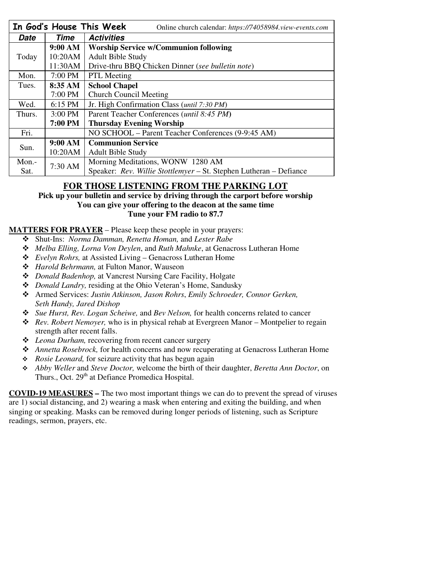|          |                   | In God's House This Week<br>Online church calendar: https://74058984.view-events.com |  |
|----------|-------------------|--------------------------------------------------------------------------------------|--|
| Date     | Time              | <b>Activities</b>                                                                    |  |
|          | $9:00 \text{ AM}$ | <b>Worship Service w/Communion following</b>                                         |  |
| Today    | 10:20AM           | <b>Adult Bible Study</b>                                                             |  |
|          | 11:30AM           | Drive-thru BBQ Chicken Dinner (see bulletin note)                                    |  |
| Mon.     | 7:00 PM           | <b>PTL</b> Meeting                                                                   |  |
| Tues.    | 8:35 AM           | <b>School Chapel</b>                                                                 |  |
|          | 7:00 PM           | <b>Church Council Meeting</b>                                                        |  |
| Wed.     | 6:15 PM           | Jr. High Confirmation Class (until 7:30 PM)                                          |  |
| Thurs.   | 3:00 PM           | Parent Teacher Conferences ( <i>until 8:45 PM</i> )                                  |  |
|          | <b>7:00 PM</b>    | <b>Thursday Evening Worship</b>                                                      |  |
| Fri.     |                   | NO SCHOOL - Parent Teacher Conferences (9-9:45 AM)                                   |  |
| Sun.     | 9:00 AM           | <b>Communion Service</b>                                                             |  |
|          | 10:20AM           | <b>Adult Bible Study</b>                                                             |  |
| Mon. $-$ | 7:30 AM           | Morning Meditations, WONW 1280 AM                                                    |  |
| Sat.     |                   | Speaker: Rev. Willie Stottlemyer - St. Stephen Lutheran - Defiance                   |  |

## **FOR THOSE LISTENING FROM THE PARKING LOT**

**Pick up your bulletin and service by driving through the carport before worship You can give your offering to the deacon at the same time Tune your FM radio to 87.7** 

### **MATTERS FOR PRAYER** – Please keep these people in your prayers:

- Shut-Ins: *Norma Damman, Renetta Homan,* and *Lester Rabe*
- *Melba Elling, Lorna Von Deylen*, and *Ruth Mahnke*, at Genacross Lutheran Home
- *Evelyn Rohrs,* at Assisted Living Genacross Lutheran Home
- *Harold Behrmann,* at Fulton Manor, Wauseon
- *Donald Badenhop,* at Vancrest Nursing Care Facility, Holgate
- *Donald Landry,* residing at the Ohio Veteran's Home, Sandusky
- Armed Services: *Justin Atkinson, Jason Rohrs*, *Emily Schroeder, Connor Gerken, Seth Handy, Jared Dishop*
- *Sue Hurst, Rev. Logan Scheiwe,* and *Bev Nelson,* for health concerns related to cancer
- *Rev. Robert Nemoyer,* who is in physical rehab at Evergreen Manor Montpelier to regain strength after recent falls.
- *Leona Durham,* recovering from recent cancer surgery
- *Annetta Rosebrock,* for health concerns and now recuperating at Genacross Lutheran Home
- *Rosie Leonard,* for seizure activity that has begun again
- *Abby Weller* and *Steve Doctor,* welcome the birth of their daughter, *Beretta Ann Doctor*, on Thurs., Oct. 29<sup>th</sup> at Defiance Promedica Hospital.

**COVID-19 MEASURES –** The two most important things we can do to prevent the spread of viruses are 1) social distancing, and 2) wearing a mask when entering and exiting the building, and when singing or speaking. Masks can be removed during longer periods of listening, such as Scripture readings, sermon, prayers, etc.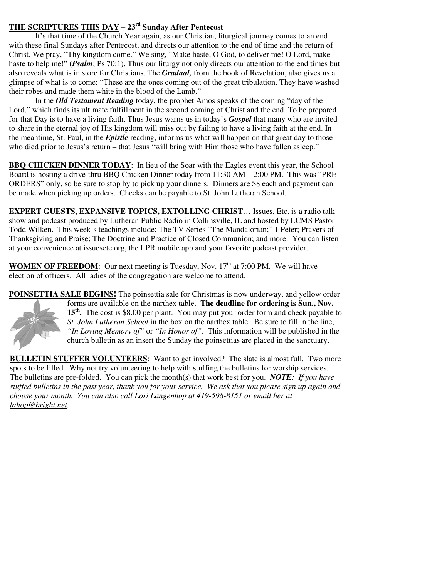### **THE SCRIPTURES THIS DAY – 23rd Sunday After Pentecost**

 It's that time of the Church Year again, as our Christian, liturgical journey comes to an end with these final Sundays after Pentecost, and directs our attention to the end of time and the return of Christ. We pray, "Thy kingdom come." We sing, "Make haste, O God, to deliver me! O Lord, make haste to help me!" (*Psalm*; Ps 70:1). Thus our liturgy not only directs our attention to the end times but also reveals what is in store for Christians. The *Gradual,* from the book of Revelation, also gives us a glimpse of what is to come: "These are the ones coming out of the great tribulation. They have washed their robes and made them white in the blood of the Lamb."

In the *Old Testament Reading* today, the prophet Amos speaks of the coming "day of the Lord," which finds its ultimate fulfillment in the second coming of Christ and the end. To be prepared for that Day is to have a living faith. Thus Jesus warns us in today's *Gospel* that many who are invited to share in the eternal joy of His kingdom will miss out by failing to have a living faith at the end. In the meantime, St. Paul, in the *Epistle* reading, informs us what will happen on that great day to those who died prior to Jesus's return – that Jesus "will bring with Him those who have fallen asleep."

**BBQ CHICKEN DINNER TODAY:** In lieu of the Soar with the Eagles event this year, the School Board is hosting a drive-thru BBQ Chicken Dinner today from 11:30 AM – 2:00 PM. This was "PRE-ORDERS" only, so be sure to stop by to pick up your dinners. Dinners are \$8 each and payment can be made when picking up orders. Checks can be payable to St. John Lutheran School.

**EXPERT GUESTS, EXPANSIVE TOPICS, EXTOLLING CHRIST**… Issues, Etc. is a radio talk show and podcast produced by Lutheran Public Radio in Collinsville, IL and hosted by LCMS Pastor Todd Wilken. This week's teachings include: The TV Series "The Mandalorian;" 1 Peter; Prayers of Thanksgiving and Praise; The Doctrine and Practice of Closed Communion; and more. You can listen at your convenience at issuesetc.org, the LPR mobile app and your favorite podcast provider.

**WOMEN OF FREEDOM:** Our next meeting is Tuesday, Nov.  $17<sup>th</sup>$  at 7:00 PM. We will have election of officers. All ladies of the congregation are welcome to attend.

**POINSETTIA SALE BEGINS!** The poinsettia sale for Christmas is now underway, and yellow order forms are available on the narthex table. **The deadline for ordering is Sun., Nov.**  15<sup>th</sup>. The cost is \$8.00 per plant. You may put your order form and check payable to *St. John Lutheran School* in the box on the narthex table. Be sure to fill in the line, *"In Loving Memory of"* or *"In Honor of"*. This information will be published in the church bulletin as an insert the Sunday the poinsettias are placed in the sanctuary.

**BULLETIN STUFFER VOLUNTEERS**: Want to get involved? The slate is almost full. Two more spots to be filled. Why not try volunteering to help with stuffing the bulletins for worship services. The bulletins are pre-folded. You can pick the month(s) that work best for you. *NOTE: If you have stuffed bulletins in the past year, thank you for your service. We ask that you please sign up again and choose your month. You can also call Lori Langenhop at 419-598-8151 or email her at lahop@bright.net.*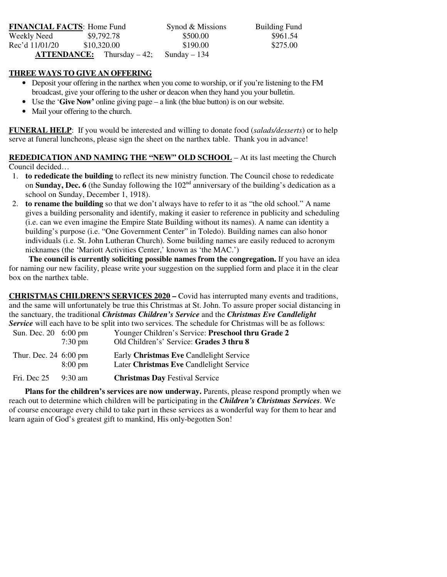| <b>FINANCIAL FACTS: Home Fund</b> |                                         | Synod & Missions | <b>Building Fund</b> |
|-----------------------------------|-----------------------------------------|------------------|----------------------|
| Weekly Need                       | \$9,792.78                              | \$500.00         | \$961.54             |
| Rec'd 11/01/20                    | \$10,320.00                             | \$190.00         | \$275.00             |
|                                   | $\textbf{ATTENDANCE:}$ Thursday $-42$ ; | Sunday $-134$    |                      |

#### **THREE WAYS TO GIVE AN OFFERING**

- Deposit your offering in the narthex when you come to worship, or if you're listening to the FM broadcast, give your offering to the usher or deacon when they hand you your bulletin.
- Use the '**Give Now'** online giving page a link (the blue button) is on our website.
- Mail your offering to the church.

**FUNERAL HELP**: If you would be interested and willing to donate food (*salads/desserts*) or to help serve at funeral luncheons, please sign the sheet on the narthex table. Thank you in advance!

**REDEDICATION AND NAMING THE "NEW" OLD SCHOOL** – At its last meeting the Church Council decided…

- 1. **to rededicate the building** to reflect its new ministry function. The Council chose to rededicate on **Sunday, Dec. 6** (the Sunday following the  $102<sup>nd</sup>$  anniversary of the building's dedication as a school on Sunday, December 1, 1918).
- 2. **to rename the building** so that we don't always have to refer to it as "the old school." A name gives a building personality and identify, making it easier to reference in publicity and scheduling (i.e. can we even imagine the Empire State Building without its names). A name can identity a building's purpose (i.e. "One Government Center" in Toledo). Building names can also honor individuals (i.e. St. John Lutheran Church). Some building names are easily reduced to acronym nicknames (the 'Mariott Activities Center,' known as 'the MAC.')

**The council is currently soliciting possible names from the congregation.** If you have an idea for naming our new facility, please write your suggestion on the supplied form and place it in the clear box on the narthex table.

|                         |                   | <b>CHRISTMAS CHILDREN'S SERVICES 2020</b> – Covid has interrupted many events and traditions,             |
|-------------------------|-------------------|-----------------------------------------------------------------------------------------------------------|
|                         |                   | and the same will unfortunately be true this Christmas at St. John. To assure proper social distancing in |
|                         |                   | the sanctuary, the traditional Christmas Children's Service and the Christmas Eve Candlelight             |
|                         |                   | Service will each have to be split into two services. The schedule for Christmas will be as follows:      |
| Sun. Dec. 20 6:00 pm    |                   | Younger Children's Service: Preschool thru Grade 2                                                        |
|                         | $7:30 \text{ pm}$ | Old Children's' Service: Grades 3 thru 8                                                                  |
| Thur. Dec. 24 6:00 pm   |                   | Early Christmas Eve Candlelight Service                                                                   |
|                         | $8:00 \text{ pm}$ | Later Christmas Eve Candlelight Service                                                                   |
| Fri. Dec $25 - 9:30$ am |                   | <b>Christmas Day Festival Service</b>                                                                     |

 **Plans for the children's services are now underway.** Parents, please respond promptly when we reach out to determine which children will be participating in the *Children's Christmas Services.* We of course encourage every child to take part in these services as a wonderful way for them to hear and learn again of God's greatest gift to mankind, His only-begotten Son!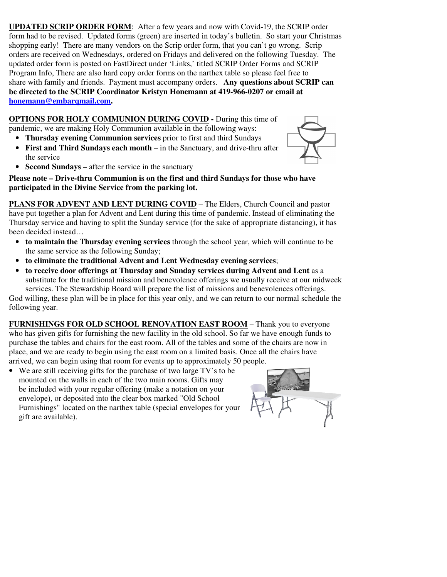**UPDATED SCRIP ORDER FORM**: After a few years and now with Covid-19, the SCRIP order form had to be revised. Updated forms (green) are inserted in today's bulletin. So start your Christmas shopping early! There are many vendors on the Scrip order form, that you can't go wrong. Scrip orders are received on Wednesdays, ordered on Fridays and delivered on the following Tuesday. The updated order form is posted on FastDirect under 'Links,' titled SCRIP Order Forms and SCRIP Program Info, There are also hard copy order forms on the narthex table so please feel free to share with family and friends. Payment must accompany orders. **Any questions about SCRIP can be directed to the SCRIP Coordinator Kristyn Honemann at 419-966-0207 or email at honemann@embarqmail.com.** 

**OPTIONS FOR HOLY COMMUNION DURING COVID -** During this time of pandemic, we are making Holy Communion available in the following ways:

• **Thursday evening Communion services** prior to first and third Sundays • **First and Third Sundays each month** – in the Sanctuary, and drive-thru after



• **Second Sundays** – after the service in the sanctuary

the service

**Please note – Drive-thru Communion is on the first and third Sundays for those who have participated in the Divine Service from the parking lot.** 

**PLANS FOR ADVENT AND LENT DURING COVID** – The Elders, Church Council and pastor have put together a plan for Advent and Lent during this time of pandemic. Instead of eliminating the Thursday service and having to split the Sunday service (for the sake of appropriate distancing), it has been decided instead…

- **to maintain the Thursday evening services** through the school year, which will continue to be the same service as the following Sunday;
- **to eliminate the traditional Advent and Lent Wednesday evening services**;
- **to receive door offerings at Thursday and Sunday services during Advent and Lent** as a substitute for the traditional mission and benevolence offerings we usually receive at our midweek services. The Stewardship Board will prepare the list of missions and benevolences offerings.

God willing, these plan will be in place for this year only, and we can return to our normal schedule the following year.

**FURNISHINGS FOR OLD SCHOOL RENOVATION EAST ROOM** – Thank you to everyone who has given gifts for furnishing the new facility in the old school. So far we have enough funds to purchase the tables and chairs for the east room. All of the tables and some of the chairs are now in place, and we are ready to begin using the east room on a limited basis. Once all the chairs have arrived, we can begin using that room for events up to approximately 50 people.

• We are still receiving gifts for the purchase of two large TV's to be mounted on the walls in each of the two main rooms. Gifts may be included with your regular offering (make a notation on your envelope), or deposited into the clear box marked "Old School Furnishings" located on the narthex table (special envelopes for your gift are available).